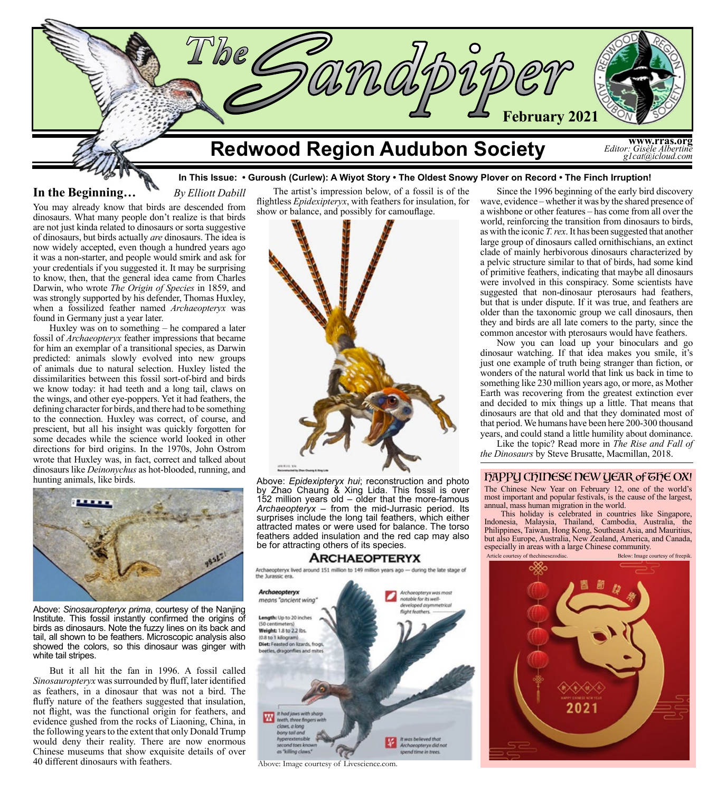

#### **In This Issue: • Guroush (Curlew): A Wiyot Story • The Oldest Snowy Plover on Record • The Finch Irruption!**

## **In the Beginning…** *By Elliott Dabill*

You may already know that birds are descended from dinosaurs. What many people don't realize is that birds are not just kinda related to dinosaurs or sorta suggestive of dinosaurs, but birds actually *are* dinosaurs. The idea is now widely accepted, even though a hundred years ago it was a non-starter, and people would smirk and ask for your credentials if you suggested it. It may be surprising to know, then, that the general idea came from Charles Darwin, who wrote *The Origin of Species* in 1859, and was strongly supported by his defender, Thomas Huxley, when a fossilized feather named *Archaeopteryx* was found in Germany just a year later.

Huxley was on to something – he compared a later fossil of *Archaeopteryx* feather impressions that became for him an exemplar of a transitional species, as Darwin predicted: animals slowly evolved into new groups of animals due to natural selection. Huxley listed the dissimilarities between this fossil sort-of-bird and birds we know today: it had teeth and a long tail, claws on the wings, and other eye-poppers. Yet it had feathers, the defining character for birds, and there had to be something to the connection. Huxley was correct, of course, and prescient, but all his insight was quickly forgotten for some decades while the science world looked in other directions for bird origins. In the 1970s, John Ostrom wrote that Huxley was, in fact, correct and talked about dinosaurs like *Deinonychus* as hot-blooded, running, and hunting animals, like birds.



Above: *Sinosauropteryx prima*, courtesy of the Nanjing Institute. This fossil instantly confirmed the origins of birds as dinosaurs. Note the fuzzy lines on its back and tail, all shown to be feathers. Microscopic analysis also showed the colors, so this dinosaur was ginger with white tail stripes.

But it all hit the fan in 1996. A fossil called *Sinosauropteryx* was surrounded by fluff, later identified as feathers, in a dinosaur that was not a bird. The fluffy nature of the feathers suggested that insulation, not flight, was the functional origin for feathers, and evidence gushed from the rocks of Liaoning, China, in the following years to the extent that only Donald Trump would deny their reality. There are now enormous Chinese museums that show exquisite details of over 40 different dinosaurs with feathers.

The artist's impression below, of a fossil is of the flightless *Epidexipteryx*, with feathers for insulation, for show or balance, and possibly for camouflage.



Above: *Epidexipteryx hui*; reconstruction and photo by Zhao Chaung & Xing Lida. This fossil is over 152 million years old – older that the more-famous *Archaeopteryx* – from the mid-Jurrasic period. Its surprises include the long tail feathers, which either attracted mates or were used for balance. The torso feathers added insulation and the red cap may also be for attracting others of its species.

### **ARCHAEOPTERYX**

Archaeopteryx lived around 151 million to 149 million years ago - during the late stage of the Jurassic era.



Above: Image courtesy of Livescience.com.

Since the 1996 beginning of the early bird discovery wave, evidence – whether it was by the shared presence of a wishbone or other features – has come from all over the world, reinforcing the transition from dinosaurs to birds, as with the iconic *T. rex*. It has been suggested that another large group of dinosaurs called ornithischians, an extinct clade of mainly herbivorous dinosaurs characterized by a pelvic structure similar to that of birds, had some kind of primitive feathers, indicating that maybe all dinosaurs were involved in this conspiracy. Some scientists have suggested that non-dinosaur pterosaurs had feathers, but that is under dispute. If it was true, and feathers are older than the taxonomic group we call dinosaurs, then they and birds are all late comers to the party, since the common ancestor with pterosaurs would have feathers.

Now you can load up your binoculars and go dinosaur watching. If that idea makes you smile, it's just one example of truth being stranger than fiction, or wonders of the natural world that link us back in time to something like 230 million years ago, or more, as Mother Earth was recovering from the greatest extinction ever and decided to mix things up a little. That means that dinosaurs are that old and that they dominated most of that period. We humans have been here 200-300 thousand years, and could stand a little humility about dominance.

Like the topic? Read more in *The Rise and Fall of the Dinosaurs* by Steve Brusatte, Macmillan, 2018.

#### HAPPU CHINESE NEW YEAR of THE OX!

The Chinese New Year on February 12, one of the world's most important and popular festivals, is the cause of the largest, annual, mass human migration in the world.

This holiday is celebrated in countries like Singapore, Indonesia, Malaysia, Thailand, Cambodia, Australia, the Philippines, Taiwan, Hong Kong, Southeast Asia, and Mauritius, but also Europe, Australia, New Zealand, America, and Canada, especially in areas with a large Chinese community.

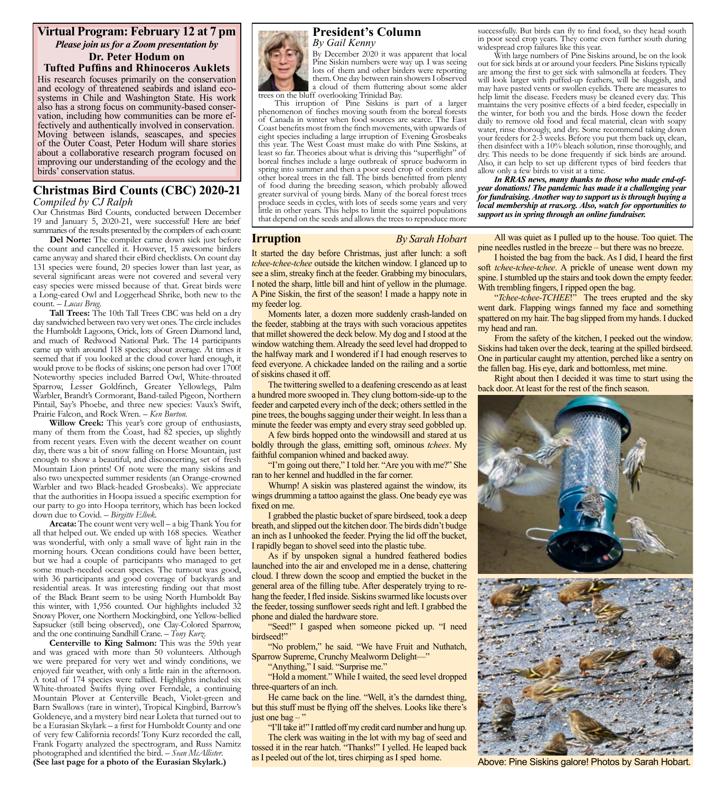# **Virtual Program: February 12 at 7 pm**

*Please join us for a Zoom presentation by* **Dr. Peter Hodum on Tufted Puffins and Rhinoceros Auklets**

His research focuses primarily on the conservation and ecology of threatened seabirds and island eco- systems in Chile and Washington State. His work also has a strong focus on community-based conservation, including how communities can be more effectively and authentically involved in conservation. Moving between islands, seascapes, and species of the Outer Coast, Peter Hodum will share stories about a collaborative research program focused on improving our understanding of the ecology and the birds' conservation status.

### **Christmas Bird Counts (CBC) 2020-21** *Compiled by CJ Ralph*

Our Christmas Bird Counts, conducted between December 19 and January 5, 2020-21, were successful! Here are brief summaries of the results presented by the compilers of each count:

**Del Norte:** The compiler came down sick just before the count and cancelled it. However, 15 awesome birders came anyway and shared their eBird checklists. On count day 131 species were found, 20 species lower than last year, as several significant areas were not covered and several very easy species were missed because of that. Great birds were a Long-eared Owl and Loggerhead Shrike, both new to the count. – *Lucas Brug.*

**Tall Trees:** The 10th Tall Trees CBC was held on a dry day sandwiched between two very wet ones. The circle includes the Humboldt Lagoons, Orick, lots of Green Diamond land, and much of Redwood National Park. The 14 participants came up with around 118 species; about average. At times it seemed that if you looked at the cloud cover hard enough, it would prove to be flocks of siskins; one person had over 1700! Noteworthy species included Barred Owl, White-throated Sparrow, Lesser Goldfinch, Greater Yellowlegs, Palm Warbler, Brandt's Cormorant, Band-tailed Pigeon, Northern Pintail, Say's Phoebe, and three new species: Vaux's Swift, Prairie Falcon, and Rock Wren. – *Ken Burton.*

**Willow Creek:** This year's core group of enthusiasts, many of them from the Coast, had  $\overline{82}$  species, up slightly from recent years. Even with the decent weather on count day, there was a bit of snow falling on Horse Mountain, just enough to show a beautiful, and disconcerting, set of fresh Mountain Lion prints! Of note were the many siskins and also two unexpected summer residents (an Orange-crowned Warbler and two Black-headed Grosbeaks). We appreciate that the authorities in Hoopa issued a specific exemption for our party to go into Hoopa territory, which has been locked down due to Covid. – *Birgitte Elbek.*

**Arcata:** The count went very well – a big Thank You for all that helped out. We ended up with 168 species. Weather was wonderful, with only a small wave of light rain in the morning hours. Ocean conditions could have been better, but we had a couple of participants who managed to get some much-needed ocean species. The turnout was good, with 36 participants and good coverage of backyards and residential areas. It was interesting finding out that most of the Black Brant seem to be using North Humboldt Bay this winter, with 1,956 counted. Our highlights included 32 Snowy Plover, one Northern Mockingbird, one Yellow-bellied Sapsucker (still being observed), one Clay-Colored Sparrow, and the one continuing Sandhill Crane. – *Tony Kurz.*

**Centerville to King Salmon:** This was the 59th year and was graced with more than 50 volunteers. Although we were prepared for very wet and windy conditions, we enjoyed fair weather, with only a little rain in the afternoon. A total of 174 species were tallied. Highlights included six White-throated Swifts flying over Ferndale, a continuing Mountain Plover at Centerville Beach, Violet-green and Barn Swallows (rare in winter), Tropical Kingbird, Barrow's Goldeneye, and a mystery bird near Loleta that turned out to be a Eurasian Skylark – a first for Humboldt County and one of very few California records! Tony Kurz recorded the call, Frank Fogarty analyzed the spectrogram, and Russ Namitz photographed and identified the bird. – *Sean McAllister*. **(See last page for a photo of the Eurasian Skylark.)**



#### **President's Column**

*By Gail Kenny* By December 2020 it was apparent that local Pine Siskin numbers were way up. I was seeing lots of them and other birders were reporting them. One day between rain showers I observed a cloud of them fluttering about some alder trees on the bluff overlooking Trinidad Bay.

This irruption of Pine Siskins is part of a larger phenomenon of finches moving south from the boreal forests of Canada in winter when food sources are scarce. The East Coast benefits most from the finch movements, with upwards of eight species including a large irruption of Evening Grosbeaks this year. The West Coast must make do with Pine Siskins, at least so far. Theories about what is driving this "superflight" of boreal finches include a large outbreak of spruce budworm in spring into summer and then a poor seed crop of conifers and other boreal trees in the fall. The birds benefitted from plenty of food during the breeding season, which probably allowed greater survival of young birds. Many of the boreal forest trees produce seeds in cycles, with lots of seeds some years and very little in other years. This helps to limit the squirrel populations that depend on the seeds and allows the trees to reproduce more

#### **Irruption** *By Sarah Hobart*

It started the day before Christmas, just after lunch: a soft *tchee-tchee-tchee* outside the kitchen window. I glanced up to see a slim, streaky finch at the feeder. Grabbing my binoculars, I noted the sharp, little bill and hint of yellow in the plumage. A Pine Siskin, the first of the season! I made a happy note in my feeder log.

Moments later, a dozen more suddenly crash-landed on the feeder, stabbing at the trays with such voracious appetites that millet showered the deck below. My dog and I stood at the window watching them. Already the seed level had dropped to the halfway mark and I wondered if I had enough reserves to feed everyone. A chickadee landed on the railing and a sortie of siskins chased it off.

The twittering swelled to a deafening crescendo as at least a hundred more swooped in. They clung bottom-side-up to the feeder and carpeted every inch of the deck; others settled in the pine trees, the boughs sagging under their weight. In less than a minute the feeder was empty and every stray seed gobbled up.

A few birds hopped onto the windowsill and stared at us boldly through the glass, emitting soft, ominous *tchees*. My faithful companion whined and backed away.

"I'm going out there," I told her. "Are you with me?" She ran to her kennel and huddled in the far corner.

Whump! A siskin was plastered against the window, its wings drumming a tattoo against the glass. One beady eye was fixed on me.

I grabbed the plastic bucket of spare birdseed, took a deep breath, and slipped out the kitchen door. The birds didn't budge an inch as I unhooked the feeder. Prying the lid off the bucket, I rapidly began to shovel seed into the plastic tube.

As if by unspoken signal a hundred feathered bodies launched into the air and enveloped me in a dense, chattering cloud. I threw down the scoop and emptied the bucket in the general area of the filling tube. After desperately trying to rehang the feeder, I fled inside. Siskins swarmed like locusts over the feeder, tossing sunflower seeds right and left. I grabbed the phone and dialed the hardware store.

"Seed!" I gasped when someone picked up. "I need birdseed!"

"No problem," he said. "We have Fruit and Nuthatch, Sparrow Supreme, Crunchy Mealworm Delight—"

"Anything," I said. "Surprise me."

"Hold a moment." While I waited, the seed level dropped three-quarters of an inch.

He came back on the line. "Well, it's the darndest thing, but this stuff must be flying off the shelves. Looks like there's just one bag  $-$ 

"I'll take it!" I rattled off my credit card number and hung up. The clerk was waiting in the lot with my bag of seed and tossed it in the rear hatch. "Thanks!" I yelled. He leaped back as I peeled out of the lot, tires chirping as I sped home.

successfully. But birds can fly to find food, so they head south in poor seed crop years. They come even further south during widespread crop failures like this year.

With large numbers of Pine Siskins around, be on the look out for sick birds at or around your feeders. Pine Siskins typically are among the first to get sick with salmonella at feeders. They will look larger with puffed-up feathers, will be sluggish, and may have pasted vents or swollen eyelids. There are measures to help limit the disease. Feeders musy be cleaned every day. This maintains the very positive effects of a bird feeder, especially in the winter, for both you and the birds. Hose down the feeder daily to remove old food and fecal material, clean with soapy water, rinse thorougly, and dry. Some recommend taking down your feeders for 2-3 weeks. Before you put them back up, clean, then disinfect with a 10% bleach solution, rinse thoroughly, and dry. This needs to be done frequently if sick birds are around. Also, it can help to set up different types of bird feeders that allow only a few birds to visit at a time.

*In RRAS news, many thanks to those who made end-ofyear donations! The pandemic has made it a challenging year for fundraising. Another way to support us is through buying a local membership at rras.org. Also, watch for opportunities to support us in spring through an online fundraiser.*

All was quiet as I pulled up to the house. Too quiet. The pine needles rustled in the breeze – but there was no breeze.

I hoisted the bag from the back. As I did, I heard the first soft *tchee-tchee-tchee*. A prickle of unease went down my spine. I stumbled up the stairs and took down the empty feeder. With trembling fingers, I ripped open the bag.

"*Tchee-tchee-TCHEE*!" The trees erupted and the sky went dark. Flapping wings fanned my face and something spattered on my hair. The bag slipped from my hands. I ducked my head and ran.

From the safety of the kitchen, I peeked out the window. Siskins had taken over the deck, tearing at the spilled birdseed. One in particular caught my attention, perched like a sentry on the fallen bag. His eye, dark and bottomless, met mine.

Right about then I decided it was time to start using the back door. At least for the rest of the finch season.





Above: Pine Siskins galore! Photos by Sarah Hobart.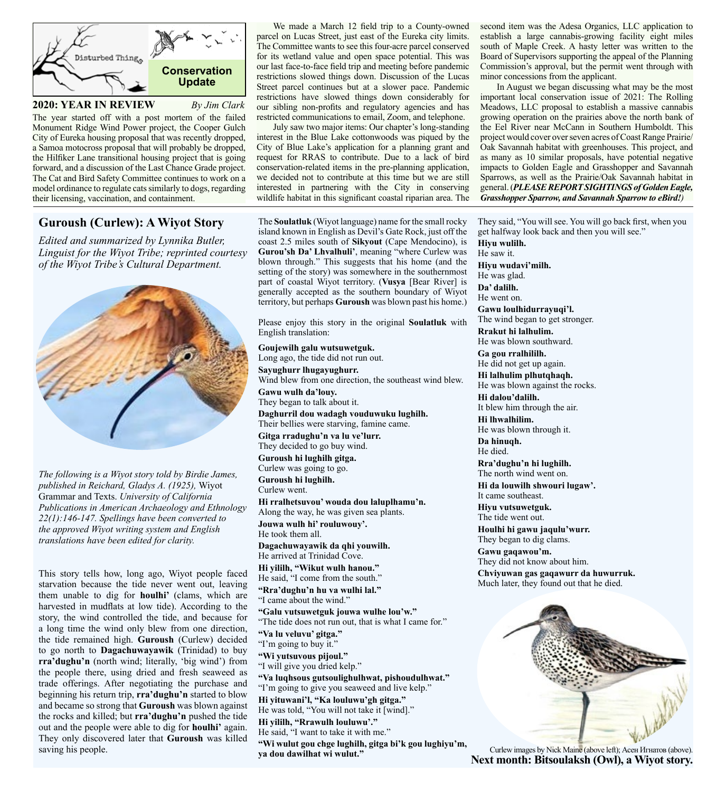

#### **2020: YEAR IN REVIEW** *By Jim Clark*

The year started off with a post mortem of the failed Monument Ridge Wind Power project, the Cooper Gulch City of Eureka housing proposal that was recently dropped, a Samoa motocross proposal that will probably be dropped, the Hilfiker Lane transitional housing project that is going forward, and a discussion of the Last Chance Grade project. The Cat and Bird Safety Committee continues to work on a model ordinance to regulate cats similarly to dogs, regarding their licensing, vaccination, and containment.

# **Guroush (Curlew): A Wiyot Story**

*Edited and summarized by Lynnika Butler, Linguist for the Wiyot Tribe; reprinted courtesy of the Wiyot Tribe's Cultural Department.*



*The following is a Wiyot story told by Birdie James, published in Reichard, Gladys A. (1925),* Wiyot Grammar and Texts. *University of California Publications in American Archaeology and Ethnology 22(1):146-147. Spellings have been converted to the approved Wiyot writing system and English translations have been edited for clarity.*

This story tells how, long ago, Wiyot people faced starvation because the tide never went out, leaving them unable to dig for **houlhi'** (clams, which are harvested in mudflats at low tide). According to the story, the wind controlled the tide, and because for a long time the wind only blew from one direction, the tide remained high. **Guroush** (Curlew) decided to go north to **Dagachuwayawik** (Trinidad) to buy **rra'dughu'n** (north wind; literally, 'big wind') from the people there, using dried and fresh seaweed as trade offerings. After negotiating the purchase and beginning his return trip, **rra'dughu'n** started to blow and became so strong that **Guroush** was blown against the rocks and killed; but **rra'dughu'n** pushed the tide out and the people were able to dig for **houlhi'** again. They only discovered later that **Guroush** was killed saving his people.

We made a March 12 field trip to a County-owned parcel on Lucas Street, just east of the Eureka city limits. The Committee wants to see this four-acre parcel conserved for its wetland value and open space potential. This was our last face-to-face field trip and meeting before pandemic restrictions slowed things down. Discussion of the Lucas Street parcel continues but at a slower pace. Pandemic restrictions have slowed things down considerably for our sibling non-profits and regulatory agencies and has restricted communications to email, Zoom, and telephone.

July saw two major items: Our chapter's long-standing interest in the Blue Lake cottonwoods was piqued by the City of Blue Lake's application for a planning grant and request for RRAS to contribute. Due to a lack of bird conservation-related items in the pre-planning application, we decided not to contribute at this time but we are still interested in partnering with the City in conserving wildlife habitat in this significant coastal riparian area. The

The **Soulatluk** (Wiyot language) name for the small rocky island known in English as Devil's Gate Rock, just off the coast 2.5 miles south of **Sikyout** (Cape Mendocino), is **Gurou'sh Da' Lhvalhuli'**, meaning "where Curlew was blown through." This suggests that his home (and the setting of the story) was somewhere in the southernmost part of coastal Wiyot territory. (**Vusya** [Bear River] is generally accepted as the southern boundary of Wiyot territory, but perhaps **Guroush** was blown past his home.)

Please enjoy this story in the original **Soulatluk** with English translation:

**Goujewilh galu wutsuwetguk.** Long ago, the tide did not run out. **Sayughurr lhugayughurr.** Wind blew from one direction, the southeast wind blew. **Gawu wulh da'louy.** They began to talk about it. **Daghurril dou wadagh vouduwuku lughilh.** Their bellies were starving, famine came. **Gitga rradughu'n va lu ve'lurr.** They decided to go buy wind. **Guroush hi lughilh gitga.** Curlew was going to go. **Guroush hi lughilh.** Curlew went. **Hi rralhetsuvou' wouda dou laluplhamu'n.** Along the way, he was given sea plants. **Jouwa wulh hi' rouluwouy'.** He took them all. **Dagachuwayawik da qhi youwilh.** He arrived at Trinidad Cove. **Hi yililh, "Wikut wulh hanou."** He said, "I come from the south." **"Rra'dughu'n hu va wulhi lal."** "I came about the wind." **"Galu vutsuwetguk jouwa wulhe lou'w."** "The tide does not run out, that is what I came for." **"Va lu veluvu' gitga."** "I'm going to buy it." **"Wi yutsuvous pijoul."** "I will give you dried kelp." **"Va luqhsous gutsoulighulhwat, pishoudulhwat."** "I'm going to give you seaweed and live kelp." **Hi yituwani'l, "Ka louluwu'gh gitga."** He was told, "You will not take it [wind]." **Hi yililh, "Rrawulh louluwu'."** He said, "I want to take it with me." **"Wi wulut gou chge lughilh, gitga bi'k gou lughiyu'm, ya dou dawilhat wi wulut."**

second item was the Adesa Organics, LLC application to establish a large cannabis-growing facility eight miles south of Maple Creek. A hasty letter was written to the Board of Supervisors supporting the appeal of the Planning Commission's approval, but the permit went through with minor concessions from the applicant.

In August we began discussing what may be the most important local conservation issue of 2021: The Rolling Meadows, LLC proposal to establish a massive cannabis growing operation on the prairies above the north bank of the Eel River near McCann in Southern Humboldt. This project would cover over seven acres of Coast Range Prairie/ Oak Savannah habitat with greenhouses. This project, and as many as 10 similar proposals, have potential negative impacts to Golden Eagle and Grasshopper and Savannah Sparrows, as well as the Prairie/Oak Savannah habitat in general. (*PLEASE REPORT SIGHTINGS of Golden Eagle, Grasshopper Sparrow, and Savannah Sparrow to eBird!)*

They said, "You will see. You will go back first, when you get halfway look back and then you will see." **Hiyu wulilh.**

He saw it. **Hiyu wudavi'milh.** He was glad. **Da' dalilh.** He went on. **Gawu loulhidurrayuqi'l.** The wind began to get stronger. **Rrakut hi lalhulim.** He was blown southward. **Ga gou rralhililh.** He did not get up again. **Hi lalhulim plhutqhaqh.** He was blown against the rocks. **Hi dalou'dalilh.** It blew him through the air. **Hi lhwalhilim.** He was blown through it. **Da hinuqh.** He died. **Rra'dughu'n hi lughilh.** The north wind went on. **Hi da louwilh shwouri lugaw'.** It came southeast. **Hiyu vutsuwetguk.** The tide went out. **Houlhi hi gawu jaqulu'wurr.** They began to dig clams. **Gawu gaqawou'm.** They did not know about him. **Chviyuwan gas gaqawurr da huwurruk.** Much later, they found out that he died.



Curlew images by Nick Maine (above left); Асен Игнатов (above). **Next month: Bitsoulaksh (Owl), a Wiyot story.**